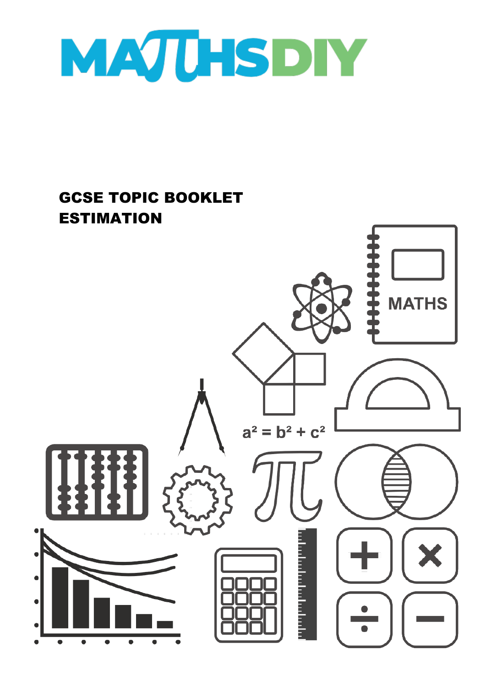

### GCSE TOPIC BOOKLET ESTIMATION

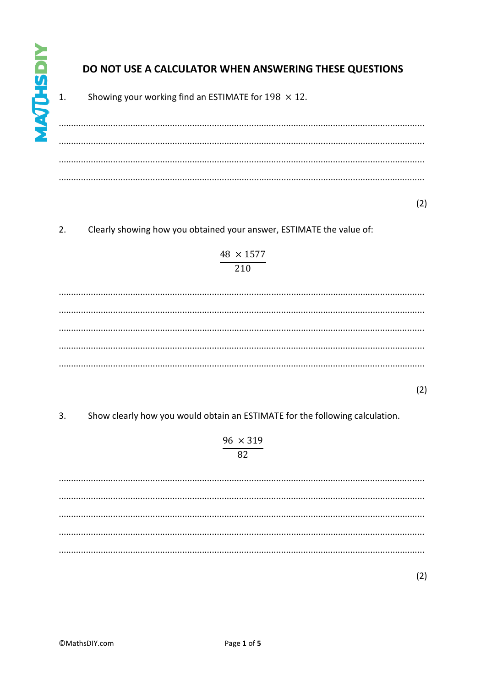$\mathbf{1}$ .

### DO NOT USE A CALCULATOR WHEN ANSWERING THESE QUESTIONS

Showing your working find an ESTIMATE for  $198 \times 12$ .

 $(2)$ 

 $2.$ Clearly showing how you obtained your answer, ESTIMATE the value of:

### $\frac{48 \times 1577}{210}$

 $(2)$ 

 $3.$ Show clearly how you would obtain an ESTIMATE for the following calculation.

## $\frac{96 \times 319}{82}$

 $(2)$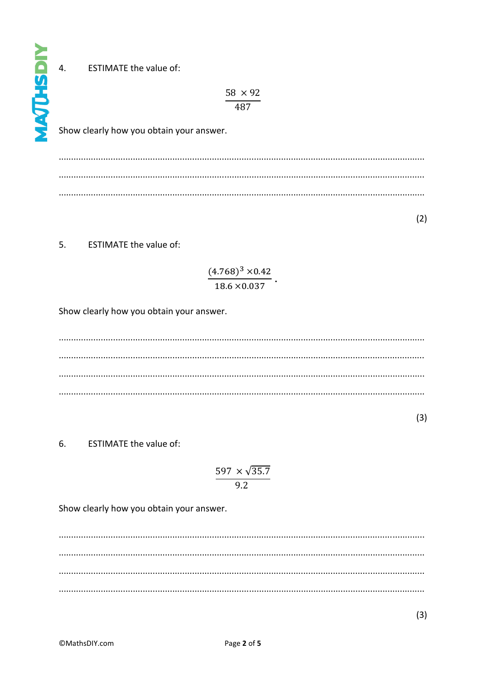$\overline{4}$ . **ESTIMATE the value of:** 

**AATHSDIY** 

 $\frac{58 \times 92}{487}$ 

Show clearly how you obtain your answer.

 $(2)$ 

5. **ESTIMATE the value of:** 

# $\frac{(4.768)^3 \times 0.42}{18.6 \times 0.037}$ .

Show clearly how you obtain your answer.

 $(3)$ 

6. **ESTIMATE the value of:** 

$$
\frac{597 \times \sqrt{35.7}}{9.2}
$$

Show clearly how you obtain your answer.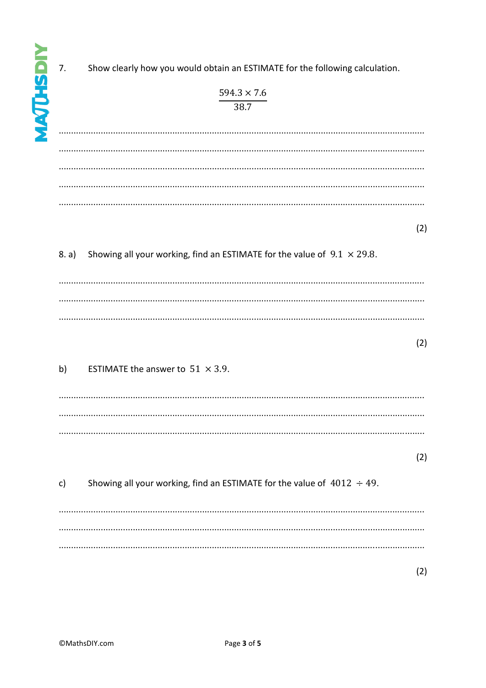| 7.    | Show clearly how you would obtain an ESTIMATE for the following calculation.    |  |
|-------|---------------------------------------------------------------------------------|--|
|       | $594.3 \times 7.6$                                                              |  |
|       | 38.7                                                                            |  |
|       |                                                                                 |  |
|       |                                                                                 |  |
|       |                                                                                 |  |
|       |                                                                                 |  |
|       |                                                                                 |  |
|       |                                                                                 |  |
|       |                                                                                 |  |
|       |                                                                                 |  |
|       |                                                                                 |  |
| 8. a) | Showing all your working, find an ESTIMATE for the value of $9.1 \times 29.8$ . |  |
|       |                                                                                 |  |
|       |                                                                                 |  |
|       |                                                                                 |  |
|       |                                                                                 |  |
|       |                                                                                 |  |
|       |                                                                                 |  |
|       |                                                                                 |  |
|       | ESTIMATE the answer to $51 \times 3.9$ .                                        |  |
| b)    |                                                                                 |  |
|       |                                                                                 |  |
|       |                                                                                 |  |
|       |                                                                                 |  |
|       |                                                                                 |  |
|       |                                                                                 |  |
|       |                                                                                 |  |
|       |                                                                                 |  |
| c)    | Showing all your working, find an ESTIMATE for the value of $4012 \div 49$ .    |  |
|       |                                                                                 |  |
|       |                                                                                 |  |
|       |                                                                                 |  |
|       |                                                                                 |  |
|       |                                                                                 |  |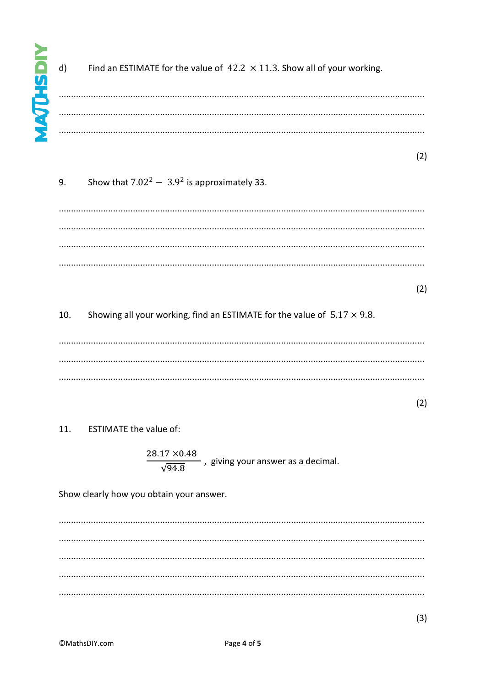$d)$ 

Find an ESTIMATE for the value of  $42.2 \times 11.3$ . Show all of your working.

 $(2)$ 

#### Show that  $7.02^2 - 3.9^2$  is approximately 33. 9.

 $(2)$ 

Showing all your working, find an ESTIMATE for the value of  $5.17 \times 9.8$ . 10.

 $(2)$ 

#### **ESTIMATE the value of:** 11.

 $\frac{28.17 \times 0.48}{\sqrt{94.8}}$ , giving your answer as a decimal.

Show clearly how you obtain your answer.